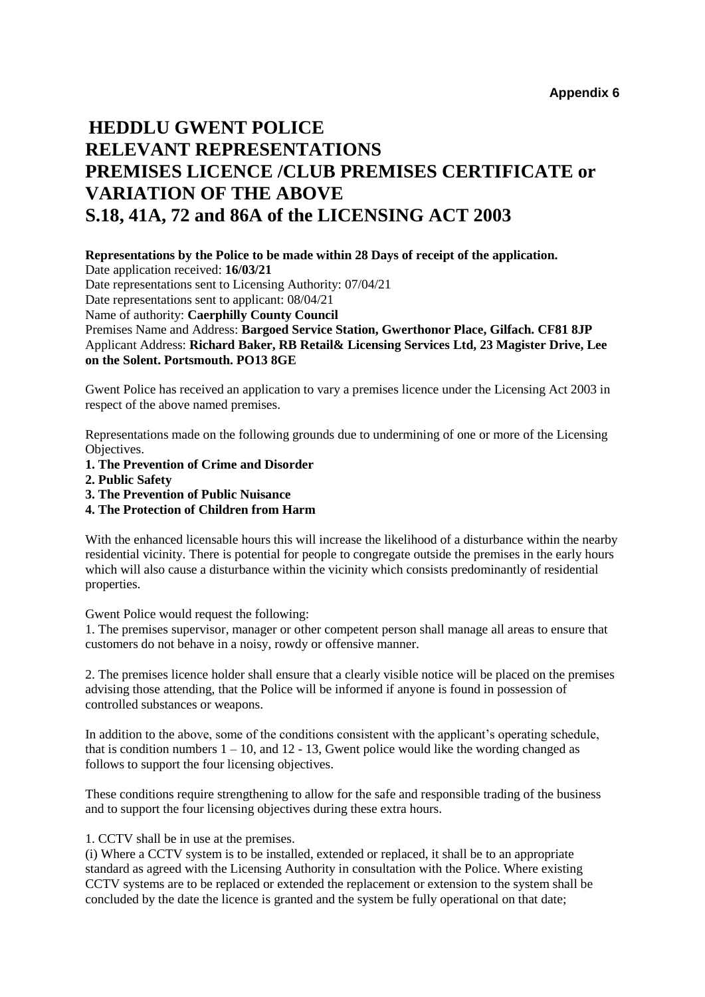## **HEDDLU GWENT POLICE RELEVANT REPRESENTATIONS PREMISES LICENCE /CLUB PREMISES CERTIFICATE or VARIATION OF THE ABOVE S.18, 41A, 72 and 86A of the LICENSING ACT 2003**

## **Representations by the Police to be made within 28 Days of receipt of the application.**

Date application received: **16/03/21**  Date representations sent to Licensing Authority: 07/04/21 Date representations sent to applicant: 08/04/21 Name of authority: **Caerphilly County Council**  Premises Name and Address: **Bargoed Service Station, Gwerthonor Place, Gilfach. CF81 8JP**  Applicant Address: **Richard Baker, RB Retail& Licensing Services Ltd, 23 Magister Drive, Lee on the Solent. Portsmouth. PO13 8GE** 

Gwent Police has received an application to vary a premises licence under the Licensing Act 2003 in respect of the above named premises.

Representations made on the following grounds due to undermining of one or more of the Licensing Objectives.

- **1. The Prevention of Crime and Disorder**
- **2. Public Safety**
- **3. The Prevention of Public Nuisance**
- **4. The Protection of Children from Harm**

With the enhanced licensable hours this will increase the likelihood of a disturbance within the nearby residential vicinity. There is potential for people to congregate outside the premises in the early hours which will also cause a disturbance within the vicinity which consists predominantly of residential properties.

Gwent Police would request the following:

1. The premises supervisor, manager or other competent person shall manage all areas to ensure that customers do not behave in a noisy, rowdy or offensive manner.

2. The premises licence holder shall ensure that a clearly visible notice will be placed on the premises advising those attending, that the Police will be informed if anyone is found in possession of controlled substances or weapons.

In addition to the above, some of the conditions consistent with the applicant's operating schedule, that is condition numbers  $1 - 10$ , and  $12 - 13$ , Gwent police would like the wording changed as follows to support the four licensing objectives.

These conditions require strengthening to allow for the safe and responsible trading of the business and to support the four licensing objectives during these extra hours.

1. CCTV shall be in use at the premises.

(i) Where a CCTV system is to be installed, extended or replaced, it shall be to an appropriate standard as agreed with the Licensing Authority in consultation with the Police. Where existing CCTV systems are to be replaced or extended the replacement or extension to the system shall be concluded by the date the licence is granted and the system be fully operational on that date;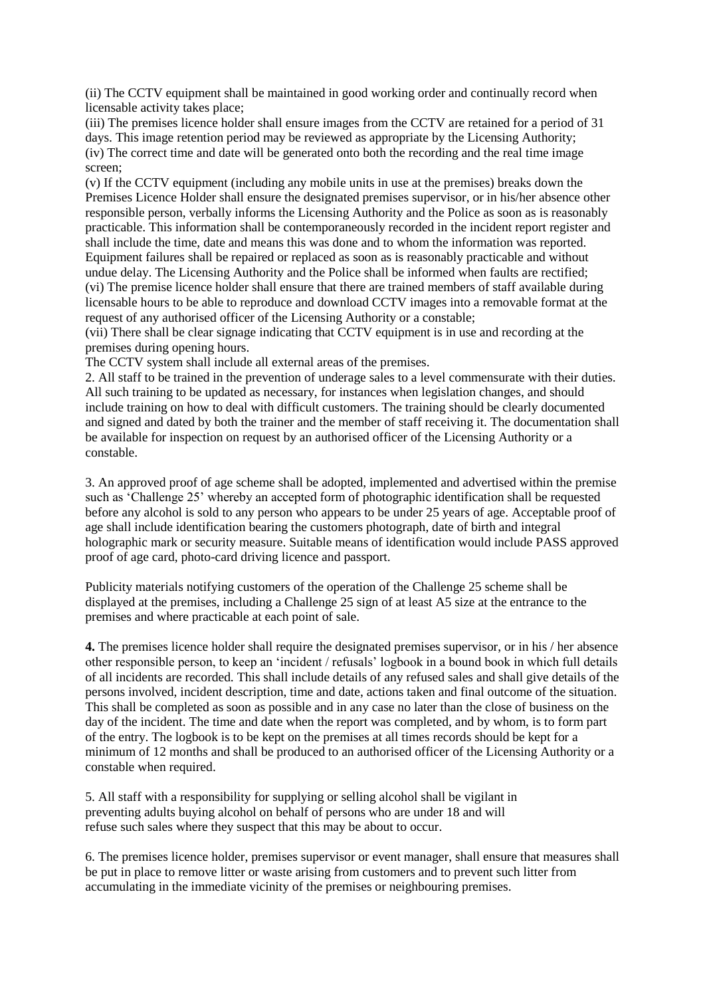(ii) The CCTV equipment shall be maintained in good working order and continually record when licensable activity takes place;

(iii) The premises licence holder shall ensure images from the CCTV are retained for a period of 31 days. This image retention period may be reviewed as appropriate by the Licensing Authority; (iv) The correct time and date will be generated onto both the recording and the real time image screen;

(v) If the CCTV equipment (including any mobile units in use at the premises) breaks down the Premises Licence Holder shall ensure the designated premises supervisor, or in his/her absence other responsible person, verbally informs the Licensing Authority and the Police as soon as is reasonably practicable. This information shall be contemporaneously recorded in the incident report register and shall include the time, date and means this was done and to whom the information was reported. Equipment failures shall be repaired or replaced as soon as is reasonably practicable and without undue delay. The Licensing Authority and the Police shall be informed when faults are rectified; (vi) The premise licence holder shall ensure that there are trained members of staff available during licensable hours to be able to reproduce and download CCTV images into a removable format at the request of any authorised officer of the Licensing Authority or a constable;

(vii) There shall be clear signage indicating that CCTV equipment is in use and recording at the premises during opening hours.

The CCTV system shall include all external areas of the premises.

2. All staff to be trained in the prevention of underage sales to a level commensurate with their duties. All such training to be updated as necessary, for instances when legislation changes, and should include training on how to deal with difficult customers. The training should be clearly documented and signed and dated by both the trainer and the member of staff receiving it. The documentation shall be available for inspection on request by an authorised officer of the Licensing Authority or a constable.

3. An approved proof of age scheme shall be adopted, implemented and advertised within the premise such as 'Challenge 25' whereby an accepted form of photographic identification shall be requested before any alcohol is sold to any person who appears to be under 25 years of age. Acceptable proof of age shall include identification bearing the customers photograph, date of birth and integral holographic mark or security measure. Suitable means of identification would include PASS approved proof of age card, photo-card driving licence and passport.

Publicity materials notifying customers of the operation of the Challenge 25 scheme shall be displayed at the premises, including a Challenge 25 sign of at least A5 size at the entrance to the premises and where practicable at each point of sale.

**4.** The premises licence holder shall require the designated premises supervisor, or in his / her absence other responsible person, to keep an 'incident / refusals' logbook in a bound book in which full details of all incidents are recorded. This shall include details of any refused sales and shall give details of the persons involved, incident description, time and date, actions taken and final outcome of the situation. This shall be completed as soon as possible and in any case no later than the close of business on the day of the incident. The time and date when the report was completed, and by whom, is to form part of the entry. The logbook is to be kept on the premises at all times records should be kept for a minimum of 12 months and shall be produced to an authorised officer of the Licensing Authority or a constable when required.

5. All staff with a responsibility for supplying or selling alcohol shall be vigilant in preventing adults buying alcohol on behalf of persons who are under 18 and will refuse such sales where they suspect that this may be about to occur.

6. The premises licence holder, premises supervisor or event manager, shall ensure that measures shall be put in place to remove litter or waste arising from customers and to prevent such litter from accumulating in the immediate vicinity of the premises or neighbouring premises.